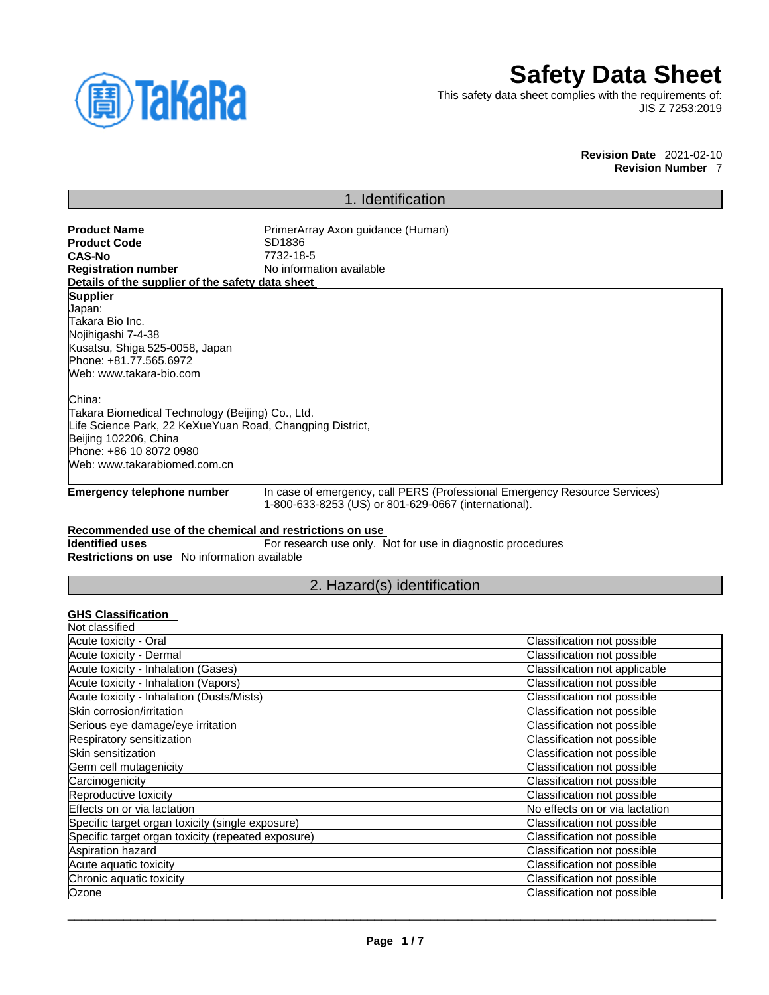

# **Safety Data Sheet**

This safety data sheet complies with the requirements of: JIS Z 7253:2019

> **Revision Date** 2021-02-10 **Revision Number** 7

# 1. Identification

**Product Code**<br>CAS-No

**Product Name** PrimerArray Axon guidance (Human)<br> **Product Code** SD1836 **No information available** 

**CAS-No** 7732-18-5 **Details of the supplier of the safety data sheet**

# **Supplier**

Japan: Takara Bio Inc. Nojihigashi 7-4-38 Kusatsu, Shiga 525-0058, Japan Phone: +81.77.565.6972 Web: www.takara-bio.com

China:

Takara Biomedical Technology (Beijing) Co., Ltd. Life Science Park, 22 KeXueYuan Road, Changping District, Beijing 102206, China Phone: +86 10 8072 0980 Web: www.takarabiomed.com.cn

**Emergency telephone number** In case of emergency, call PERS (Professional Emergency Resource Services) 1-800-633-8253 (US) or 801-629-0667 (international).

# **Recommended use of the chemical and restrictions on use**

**Identified uses** For research use only. Not for use in diagnostic procedures **Restrictions on use** No information available

# 2. Hazard(s) identification

# **GHS Classification**

| Classification not possible    |
|--------------------------------|
| Classification not possible    |
| Classification not applicable  |
| Classification not possible    |
| Classification not possible    |
| Classification not possible    |
| Classification not possible    |
| Classification not possible    |
| Classification not possible    |
| Classification not possible    |
| Classification not possible    |
| Classification not possible    |
| No effects on or via lactation |
| Classification not possible    |
| Classification not possible    |
| Classification not possible    |
| Classification not possible    |
| Classification not possible    |
| Classification not possible    |
|                                |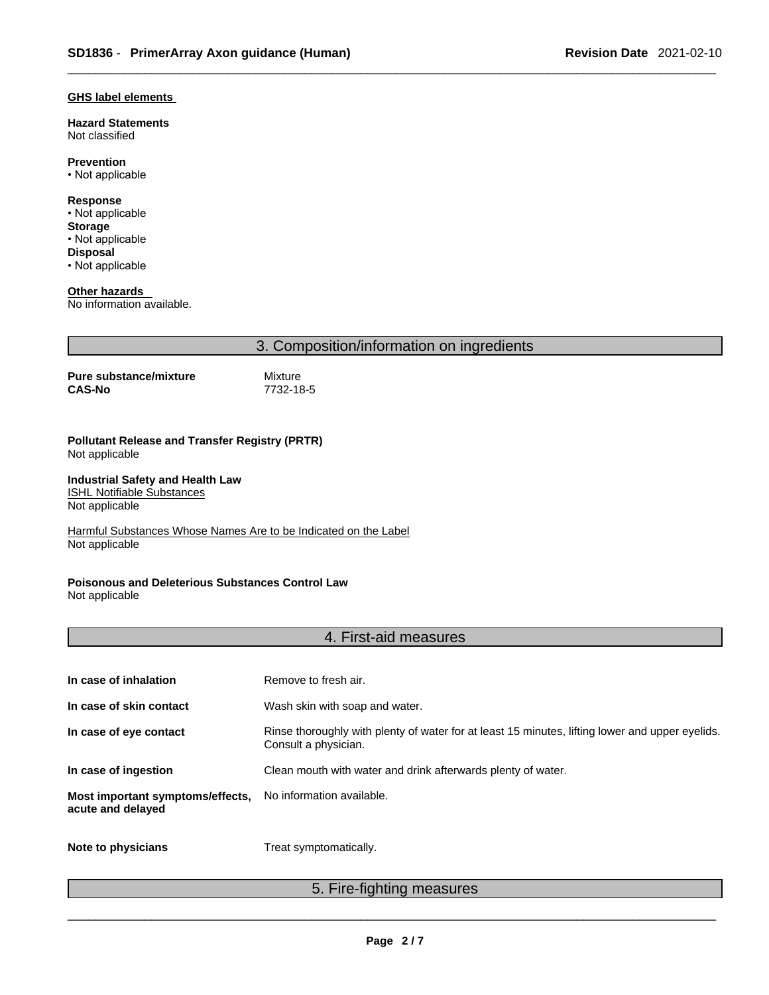# **GHS label elements**

**Hazard Statements**  Not classified

**Prevention**

• Not applicable

**Response** • Not applicable **Storage** • Not applicable **Disposal**

• Not applicable

**Other hazards** 

No information available.

3. Composition/information on ingredients

**Pure substance/mixture** Mixture<br>CAS-No 7732-18

**CAS-No** 7732-18-5

## **Pollutant Release and Transfer Registry (PRTR)** Not applicable

**Industrial Safety and Health Law ISHL Notifiable Substances** 

Not applicable

Harmful Substances Whose Names Are to be Indicated on the Label Not applicable

#### **Poisonous and Deleterious Substances Control Law** Not applicable

# 4. First-aid measures

| In case of inhalation                                 | Remove to fresh air.                                                                                                    |
|-------------------------------------------------------|-------------------------------------------------------------------------------------------------------------------------|
| In case of skin contact                               | Wash skin with soap and water.                                                                                          |
| In case of eye contact                                | Rinse thoroughly with plenty of water for at least 15 minutes, lifting lower and upper eyelids.<br>Consult a physician. |
| In case of ingestion                                  | Clean mouth with water and drink afterwards plenty of water.                                                            |
| Most important symptoms/effects,<br>acute and delayed | No information available.                                                                                               |
| Note to physicians                                    | Treat symptomatically.                                                                                                  |

5. Fire-fighting measures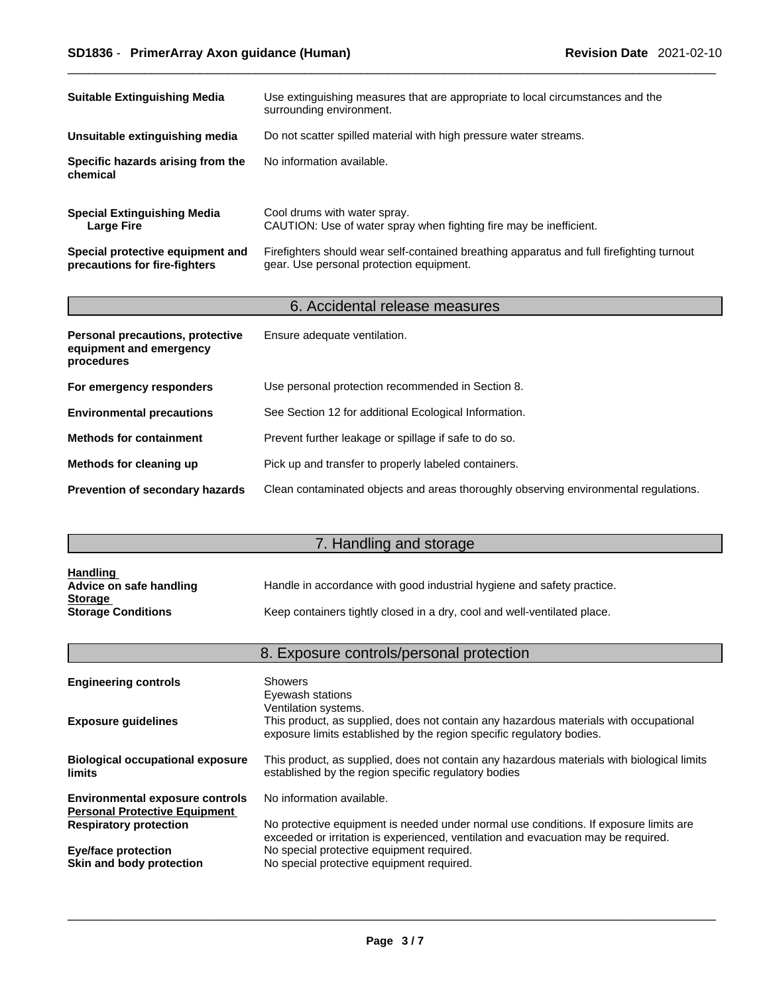| <b>Suitable Extinguishing Media</b>                               | Use extinguishing measures that are appropriate to local circumstances and the<br>surrounding environment.                            |
|-------------------------------------------------------------------|---------------------------------------------------------------------------------------------------------------------------------------|
| Unsuitable extinguishing media                                    | Do not scatter spilled material with high pressure water streams.                                                                     |
| Specific hazards arising from the<br>chemical                     | No information available.                                                                                                             |
| <b>Special Extinguishing Media</b><br><b>Large Fire</b>           | Cool drums with water spray.<br>CAUTION: Use of water spray when fighting fire may be inefficient.                                    |
| Special protective equipment and<br>precautions for fire-fighters | Firefighters should wear self-contained breathing apparatus and full firefighting turnout<br>gear. Use personal protection equipment. |

# 6. Accidental release measures

| Personal precautions, protective<br>equipment and emergency<br>procedures | Ensure adequate ventilation.                                                         |
|---------------------------------------------------------------------------|--------------------------------------------------------------------------------------|
| For emergency responders                                                  | Use personal protection recommended in Section 8.                                    |
| <b>Environmental precautions</b>                                          | See Section 12 for additional Ecological Information.                                |
| <b>Methods for containment</b>                                            | Prevent further leakage or spillage if safe to do so.                                |
| Methods for cleaning up                                                   | Pick up and transfer to properly labeled containers.                                 |
| <b>Prevention of secondary hazards</b>                                    | Clean contaminated objects and areas thoroughly observing environmental regulations. |

# 7. Handling and storage

| <b>Handling</b><br>Advice on safe handling | Handle in accordance with good industrial hygiene and safety practice.   |
|--------------------------------------------|--------------------------------------------------------------------------|
| <b>Storage</b>                             |                                                                          |
| <b>Storage Conditions</b>                  | Keep containers tightly closed in a dry, cool and well-ventilated place. |

|                                                                                | 8. Exposure controls/personal protection                                                                                                                                    |
|--------------------------------------------------------------------------------|-----------------------------------------------------------------------------------------------------------------------------------------------------------------------------|
| <b>Engineering controls</b>                                                    | Showers                                                                                                                                                                     |
|                                                                                | Eyewash stations<br>Ventilation systems.                                                                                                                                    |
| <b>Exposure quidelines</b>                                                     | This product, as supplied, does not contain any hazardous materials with occupational<br>exposure limits established by the region specific regulatory bodies.              |
| <b>Biological occupational exposure</b><br>limits                              | This product, as supplied, does not contain any hazardous materials with biological limits<br>established by the region specific regulatory bodies                          |
| <b>Environmental exposure controls</b><br><b>Personal Protective Equipment</b> | No information available.                                                                                                                                                   |
| <b>Respiratory protection</b>                                                  | No protective equipment is needed under normal use conditions. If exposure limits are<br>exceeded or irritation is experienced, ventilation and evacuation may be required. |
| <b>Eye/face protection</b>                                                     | No special protective equipment required.                                                                                                                                   |
| Skin and body protection                                                       | No special protective equipment required.                                                                                                                                   |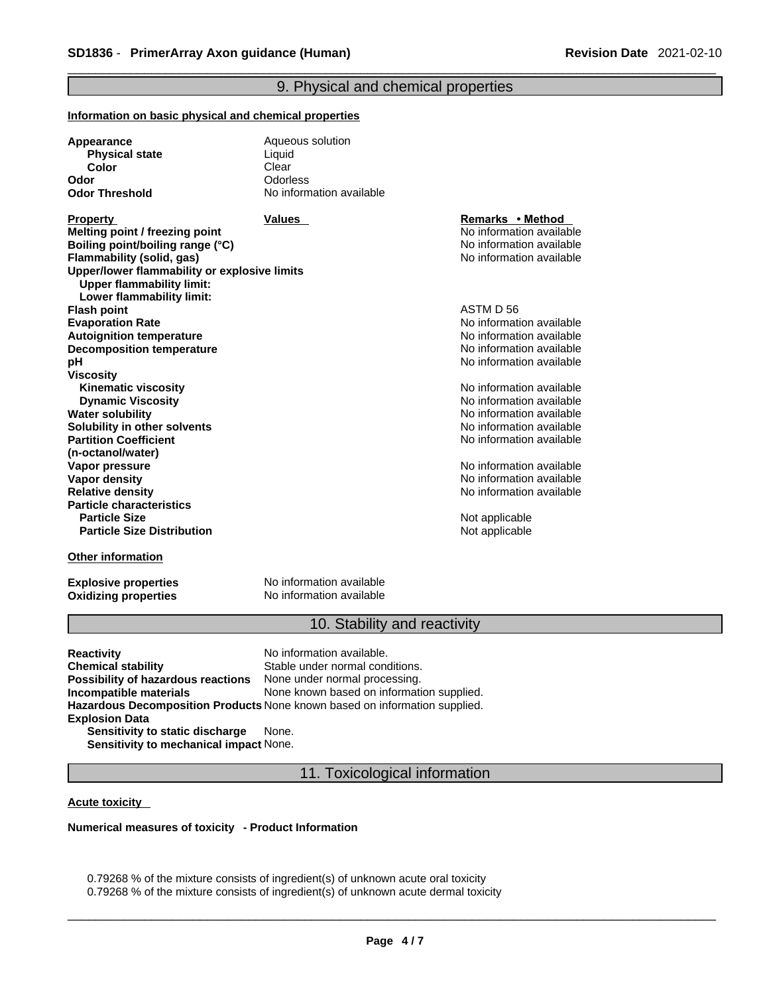# 9. Physical and chemical properties

#### **Information on basic physical and chemical properties**

| Appearance            | Aqueous solution         |  |
|-----------------------|--------------------------|--|
| <b>Physical state</b> | Liquid                   |  |
| Color                 | Clear                    |  |
| Odor                  | Odorless                 |  |
| <b>Odor Threshold</b> | No information available |  |
|                       |                          |  |

**Property Remarks • Property Remarks • Method Melting point / freezing point**  $\blacksquare$  **Melting point**  $\blacksquare$  No information available **Boiling point/boiling range (°C)** and the set of the set of the No information available **Flammability (solid, gas)** No information available **Upper/lower flammability or explosive limits Upper flammability limit: Lower flammability limit: Flash point** ASTM D 56 **Evaporation Rate**<br> **Autoignition temperature**<br> **Autoignition temperature**<br> **Autoignition available Autoignition temperature**<br> **Decomposition temperature** Noinformation available<br>
No information available **Decomposition temperature pH pH pH** *pH pH pH pH pH pH pH pH pH pH pH pH pH pH pH pH pH pH pH pH pH pH pH pH pH pH pH pH pH pH* **Viscosity Kinematic viscosity Notifically** No information available **Dynamic Viscosity No information available** No information available **Water solubility No information available No information available Solubility in other solvents intervalsed** No information available **Partition Coefficient (n-octanol/water) Vapor pressure**<br> **Vapor density**<br> **Vapor density**<br> **Vapor density Vapor density**<br> **Vapor density**<br> **Relative density**<br> **Relative density Particle characteristics Particle Size Distribution**

No information available

**Relative density** No information available

**Not applicable** Not applicable

# **Other information**

**Oxidizing properties** 

**Explosive properties**<br> **Oxidizing properties**<br>
No information available

# 10. Stability and reactivity

| Reactivity                             | No information available.                                                         |
|----------------------------------------|-----------------------------------------------------------------------------------|
| Chemical stability                     | Stable under normal conditions.                                                   |
| Possibility of hazardous reactions     | None under normal processing.                                                     |
| Incompatible materials                 | None known based on information supplied.                                         |
|                                        | <b>Hazardous Decomposition Products</b> None known based on information supplied. |
| <b>Explosion Data</b>                  |                                                                                   |
| Sensitivity to static discharge        | None.                                                                             |
| Sensitivity to mechanical impact None. |                                                                                   |

11. Toxicological information

**Acute toxicity** 

**Numerical measures of toxicity - Product Information**

0.79268 % of the mixture consists of ingredient(s) of unknown acute oral toxicity 0.79268 % of the mixture consists of ingredient(s) of unknown acute dermal toxicity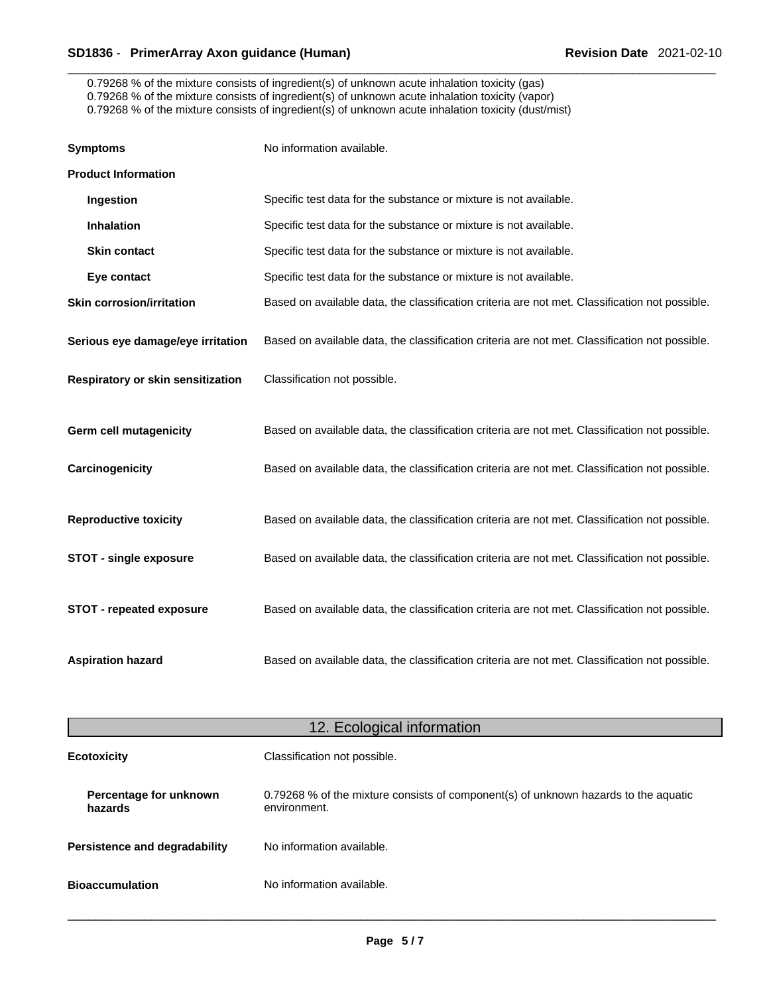0.79268 % of the mixture consists of ingredient(s) of unknown acute inhalation toxicity (gas) 0.79268 % of the mixture consists of ingredient(s) of unknown acute inhalation toxicity (vapor) 0.79268 % of the mixture consists of ingredient(s) of unknown acute inhalation toxicity (dust/mist)

| <b>Symptoms</b>                   | No information available.                                                                      |
|-----------------------------------|------------------------------------------------------------------------------------------------|
| <b>Product Information</b>        |                                                                                                |
| Ingestion                         | Specific test data for the substance or mixture is not available.                              |
| <b>Inhalation</b>                 | Specific test data for the substance or mixture is not available.                              |
| <b>Skin contact</b>               | Specific test data for the substance or mixture is not available.                              |
| Eye contact                       | Specific test data for the substance or mixture is not available.                              |
| <b>Skin corrosion/irritation</b>  | Based on available data, the classification criteria are not met. Classification not possible. |
| Serious eye damage/eye irritation | Based on available data, the classification criteria are not met. Classification not possible. |
| Respiratory or skin sensitization | Classification not possible.                                                                   |
| <b>Germ cell mutagenicity</b>     | Based on available data, the classification criteria are not met. Classification not possible. |
| Carcinogenicity                   | Based on available data, the classification criteria are not met. Classification not possible. |
| <b>Reproductive toxicity</b>      | Based on available data, the classification criteria are not met. Classification not possible. |
| <b>STOT - single exposure</b>     | Based on available data, the classification criteria are not met. Classification not possible. |
| <b>STOT - repeated exposure</b>   | Based on available data, the classification criteria are not met. Classification not possible. |
| <b>Aspiration hazard</b>          | Based on available data, the classification criteria are not met. Classification not possible. |

| 12. Ecological information        |                                                                                                     |
|-----------------------------------|-----------------------------------------------------------------------------------------------------|
| <b>Ecotoxicity</b>                | Classification not possible.                                                                        |
| Percentage for unknown<br>hazards | 0.79268 % of the mixture consists of component(s) of unknown hazards to the aquatic<br>environment. |
| Persistence and degradability     | No information available.                                                                           |
| <b>Bioaccumulation</b>            | No information available.                                                                           |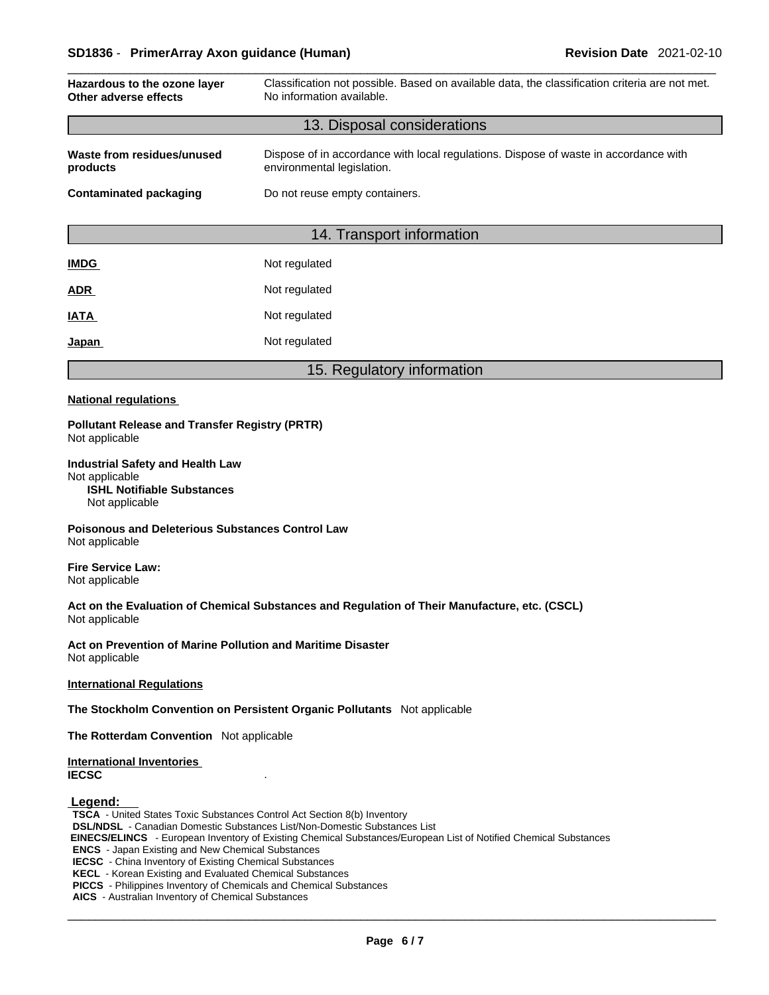| Hazardous to the ozone layer<br>Other adverse effects | Classification not possible. Based on available data, the classification criteria are not met.<br>No information available. |  |  |  |
|-------------------------------------------------------|-----------------------------------------------------------------------------------------------------------------------------|--|--|--|
| 13. Disposal considerations                           |                                                                                                                             |  |  |  |
| Waste from residues/unused<br>products                | Dispose of in accordance with local regulations. Dispose of waste in accordance with<br>environmental legislation.          |  |  |  |
| <b>Contaminated packaging</b>                         | Do not reuse empty containers.                                                                                              |  |  |  |
|                                                       |                                                                                                                             |  |  |  |
| 14. Transport information                             |                                                                                                                             |  |  |  |
| <b>IMDG</b>                                           | Not regulated                                                                                                               |  |  |  |
| <b>ADR</b>                                            | Not regulated                                                                                                               |  |  |  |
| <b>IATA</b>                                           | Not regulated                                                                                                               |  |  |  |
| Japan                                                 | Not regulated                                                                                                               |  |  |  |
|                                                       | 15. Regulatory information                                                                                                  |  |  |  |
| <b>National regulations</b>                           |                                                                                                                             |  |  |  |

# **Pollutant Release and Transfer Registry (PRTR)** Not applicable

**Industrial Safety and Health Law** Not applicable **ISHL Notifiable Substances** Not applicable

**Poisonous and Deleterious Substances Control Law** Not applicable

**Fire Service Law:** Not applicable

**Act on the Evaluation of Chemical Substances and Regulation of Their Manufacture, etc. (CSCL)** Not applicable

**Act on Prevention of Marine Pollution and Maritime Disaster** Not applicable

**International Regulations**

**The Stockholm Convention on Persistent Organic Pollutants** Not applicable

**The Rotterdam Convention** Not applicable

## **International Inventories IECSC** .

# **Legend:**

**TSCA** - United States Toxic Substances Control Act Section 8(b) Inventory **DSL/NDSL** - Canadian Domestic Substances List/Non-Domestic Substances List  **EINECS/ELINCS** - European Inventory of Existing Chemical Substances/European List of Notified Chemical Substances **ENCS** - Japan Existing and New Chemical Substances **IECSC** - China Inventory of Existing Chemical Substances **KECL** - Korean Existing and Evaluated Chemical Substances **PICCS** - Philippines Inventory of Chemicals and Chemical Substances

**AICS** - Australian Inventory of Chemical Substances